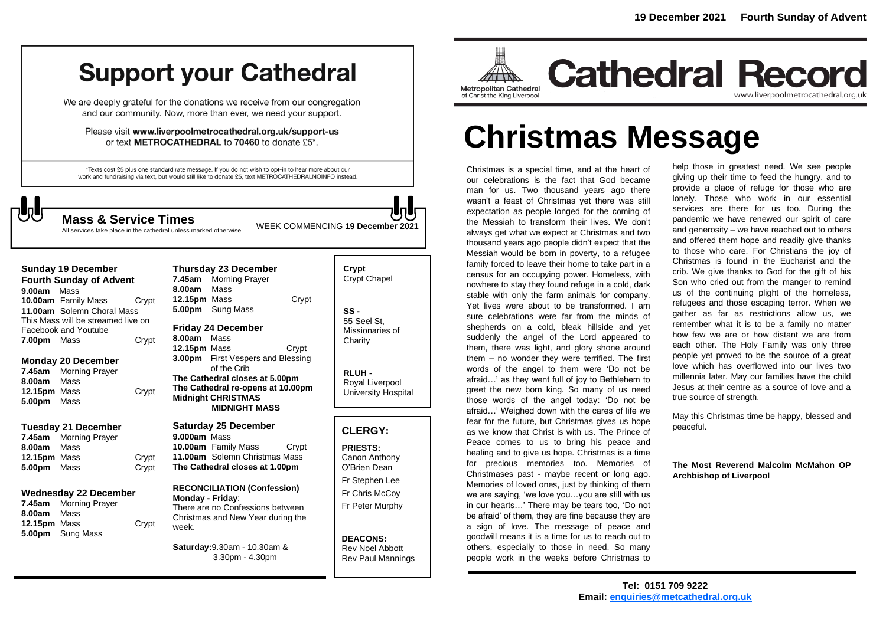## **Support your Cathedral**

We are deeply grateful for the donations we receive from our congregation and our community. Now, more than ever, we need your support.

Please visit www.liverpoolmetrocathedral.org.uk/support-us or text METROCATHEDRAL to 70460 to donate £5\*.

\*Texts cost £5 plus one standard rate message. If you do not wish to opt-in to hear more about our work and fundraising via text, but would still like to donate £5, text METROCATHEDRALNOINFO instead.

All services take place in the cathedral unless marked otherwise

WEEK COMMENCING **<sup>19</sup> December <sup>2021</sup> Mass & Service Times**

| <b>Sunday 19 December</b>          |                            |       |  |  |
|------------------------------------|----------------------------|-------|--|--|
| <b>Fourth Sunday of Advent</b>     |                            |       |  |  |
| 9.00am Mass                        |                            |       |  |  |
|                                    | 10.00am Family Mass        | Crypt |  |  |
|                                    | 11.00am Solemn Choral Mass |       |  |  |
| This Mass will be streamed live on |                            |       |  |  |
| Facebook and Youtube               |                            |       |  |  |
| 7.00pm Mass                        |                            | Crypt |  |  |
|                                    |                            |       |  |  |

### **Monday 20 December**

| 7.45am       | <b>Morning Prayer</b> |       |
|--------------|-----------------------|-------|
| 8.00am Mass  |                       |       |
| 12.15pm Mass |                       | Crypt |
| 5.00pm Mass  |                       |       |

### **Tuesday 21 December**

**7.45am** Morning Prayer **8.00am** Mass **12.15pm** Mass Crypt **5.00pm** Mass Crypt

### **Wednesday 22 December**

**7.45am** Morning Prayer **8.00am** Mass **12.15pm** Mass Crypt **5.00pm** Sung Mass

| Thursday 23 December                     |                       |       |  |
|------------------------------------------|-----------------------|-------|--|
|                                          | 7.45am Morning Prayer |       |  |
| 8.00am Mass                              |                       |       |  |
| <b>12.15pm</b> Mass                      |                       | Crypt |  |
|                                          | 5.00pm Sung Mass      |       |  |
| <b>Friday 24 December</b><br>8.00am Mass |                       |       |  |

**12.15pm** Mass **Crypt 3.00pm** First Vespers and Blessing of the Crib **The Cathedral closes at 5.00pm The Cathedral re-opens at 10.00pm Midnight CHRISTMAS MIDNIGHT MASS**

### **Saturday 25 December**

**9.000am** Mass **10.00am** Family Mass Crypt **11.00am** Solemn Christmas Mass **The Cathedral closes at 1.00pm**

#### **RECONCILIATION (Confession) Monday - Friday**: There are no Confessions between

Christmas and New Year during the week.

**Saturday:**9.30am - 10.30am & 3.30pm - 4.30pm

### **Crypt**  Crypt Chapel **SS -** 55 Seel St, Missionaries of **Charity**

**RLUH -** Royal Liverpool University Hospital

### **CLERGY:**

**PRIESTS:** Canon Anthony O'Brien *Dean*

Fr Stephen Lee Fr Chris McCoy Fr Peter Murphy

**DEACONS:** Rev Noel Abbott Rev Paul Mannings



### **Cathedral Record** www.liverpoolmetrocathedral.org.uk

# **Christmas Message**

Christmas is a special time, and at the heart of our celebrations is the fact that God became man for us. Two thousand years ago there wasn't a feast of Christmas yet there was still expectation as people longed for the coming of the Messiah to transform their lives. We don't always get what we expect at Christmas and two thousand years ago people didn't expect that the Messiah would be born in poverty, to a refugee family forced to leave their home to take part in a census for an occupying power. Homeless, with nowhere to stay they found refuge in a cold, dark stable with only the farm animals for company. Yet lives were about to be transformed. I am sure celebrations were far from the minds of shepherds on a cold, bleak hillside and yet suddenly the angel of the Lord appeared to them, there was light, and glory shone around them – no wonder they were terrified. The first words of the angel to them were 'Do not be afraid…' as they went full of joy to Bethlehem to greet the new born king. So many of us need those words of the angel today: 'Do not be afraid…' Weighed down with the cares of life we fear for the future, but Christmas gives us hope as we know that Christ is with us. The Prince of Peace comes to us to bring his peace and healing and to give us hope. Christmas is a time for precious memories too. Memories of Christmases past - maybe recent or long ago. Memories of loved ones, just by thinking of them we are saying, 'we love you…you are still with us in our hearts…' There may be tears too, 'Do not be afraid' of them, they are fine because they are a sign of love. The message of peace and goodwill means it is a time for us to reach out to others, especially to those in need. So many people work in the weeks before Christmas to

help those in greatest need. We see people giving up their time to feed the hungry, and to provide a place of refuge for those who are lonely. Those who work in our essential services are there for us too. During the pandemic we have renewed our spirit of care and generosity – we have reached out to others and offered them hope and readily give thanks to those who care. For Christians the joy of Christmas is found in the Eucharist and the crib. We give thanks to God for the gift of his Son who cried out from the manger to remind us of the continuing plight of the homeless, refugees and those escaping terror. When we gather as far as restrictions allow us, we remember what it is to be a family no matter how few we are or how distant we are from each other. The Holy Family was only three people yet proved to be the source of a great love which has overflowed into our lives two millennia later. May our families have the child Jesus at their centre as a source of love and a true source of strength.

May this Christmas time be happy, blessed and peaceful.

### **The Most Reverend Malcolm McMahon OP Archbishop of Liverpool**